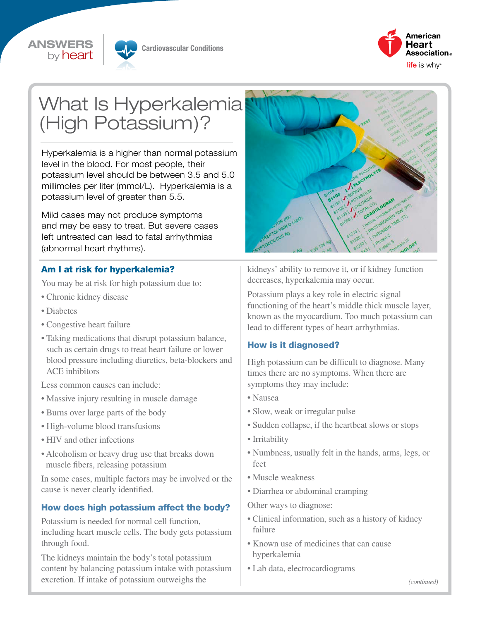





# What Is Hyperkalemia (High Potassium)?

Hyperkalemia is a higher than normal potassium level in the blood. For most people, their potassium level should be between 3.5 and 5.0 millimoles per liter (mmol/L). Hyperkalemia is a potassium level of greater than 5.5.

Mild cases may not produce symptoms and may be easy to treat. But severe cases left untreated can lead to fatal arrhythmias (abnormal heart rhythms).

#### Am I at risk for hyperkalemia?

You may be at risk for high potassium due to:

- Chronic kidney disease
- Diabetes
- Congestive heart failure
- Taking medications that disrupt potassium balance, such as certain drugs to treat heart failure or lower blood pressure including diuretics, beta-blockers and ACE inhibitors

Less common causes can include:

- Massive injury resulting in muscle damage
- Burns over large parts of the body
- High-volume blood transfusions
- HIV and other infections
- Alcoholism or heavy drug use that breaks down muscle fibers, releasing potassium

In some cases, multiple factors may be involved or the cause is never clearly identified.

#### How does high potassium affect the body?

Potassium is needed for normal cell function, including heart muscle cells. The body gets potassium through food.

The kidneys maintain the body's total potassium content by balancing potassium intake with potassium excretion. If intake of potassium outweighs the



kidneys' ability to remove it, or if kidney function decreases, hyperkalemia may occur.

Potassium plays a key role in electric signal functioning of the heart's middle thick muscle layer, known as the myocardium. Too much potassium can lead to different types of heart arrhythmias.

#### How is it diagnosed?

High potassium can be difficult to diagnose. Many times there are no symptoms. When there are symptoms they may include:

- Nausea
- Slow, weak or irregular pulse
- Sudden collapse, if the heartbeat slows or stops
- Irritability
- Numbness, usually felt in the hands, arms, legs, or feet
- Muscle weakness
- Diarrhea or abdominal cramping

Other ways to diagnose:

- Clinical information, such as a history of kidney failure
- Known use of medicines that can cause hyperkalemia
- Lab data, electrocardiograms

*(continued)*